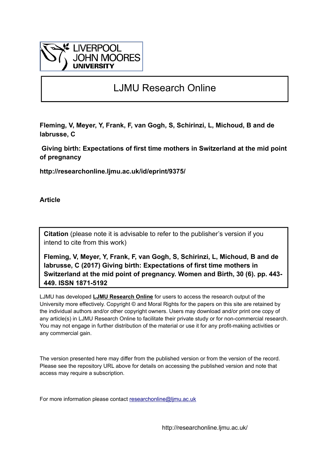

## LJMU Research Online

**Fleming, V, Meyer, Y, Frank, F, van Gogh, S, Schirinzi, L, Michoud, B and de labrusse, C**

 **Giving birth: Expectations of first time mothers in Switzerland at the mid point of pregnancy**

**http://researchonline.ljmu.ac.uk/id/eprint/9375/**

**Article**

**Citation** (please note it is advisable to refer to the publisher's version if you intend to cite from this work)

**Fleming, V, Meyer, Y, Frank, F, van Gogh, S, Schirinzi, L, Michoud, B and de labrusse, C (2017) Giving birth: Expectations of first time mothers in Switzerland at the mid point of pregnancy. Women and Birth, 30 (6). pp. 443- 449. ISSN 1871-5192** 

LJMU has developed **[LJMU Research Online](http://researchonline.ljmu.ac.uk/)** for users to access the research output of the University more effectively. Copyright © and Moral Rights for the papers on this site are retained by the individual authors and/or other copyright owners. Users may download and/or print one copy of any article(s) in LJMU Research Online to facilitate their private study or for non-commercial research. You may not engage in further distribution of the material or use it for any profit-making activities or any commercial gain.

The version presented here may differ from the published version or from the version of the record. Please see the repository URL above for details on accessing the published version and note that access may require a subscription.

For more information please contact researchonline@limu.ac.uk

http://researchonline.ljmu.ac.uk/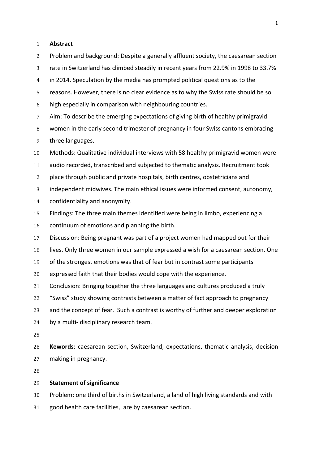**Abstract**

 Problem and background: Despite a generally affluent society, the caesarean section rate in Switzerland has climbed steadily in recent years from 22.9% in 1998 to 33.7% in 2014. Speculation by the media has prompted political questions as to the reasons. However, there is no clear evidence as to why the Swiss rate should be so high especially in comparison with neighbouring countries. Aim: To describe the emerging expectations of giving birth of healthy primigravid women in the early second trimester of pregnancy in four Swiss cantons embracing three languages. Methods: Qualitative individual interviews with 58 healthy primigravid women were audio recorded, transcribed and subjected to thematic analysis. Recruitment took place through public and private hospitals, birth centres, obstetricians and independent midwives. The main ethical issues were informed consent, autonomy, confidentiality and anonymity. Findings: The three main themes identified were being in limbo, experiencing a continuum of emotions and planning the birth. Discussion: Being pregnant was part of a project women had mapped out for their lives. Only three women in our sample expressed a wish for a caesarean section. One of the strongest emotions was that of fear but in contrast some participants expressed faith that their bodies would cope with the experience. Conclusion: Bringing together the three languages and cultures produced a truly "Swiss" study showing contrasts between a matter of fact approach to pregnancy and the concept of fear. Such a contrast is worthy of further and deeper exploration 24 by a multi- disciplinary research team. **Kewords**: caesarean section, Switzerland, expectations, thematic analysis, decision making in pregnancy. **Statement of significance**

 Problem: one third of births in Switzerland, a land of high living standards and with good health care facilities, are by caesarean section.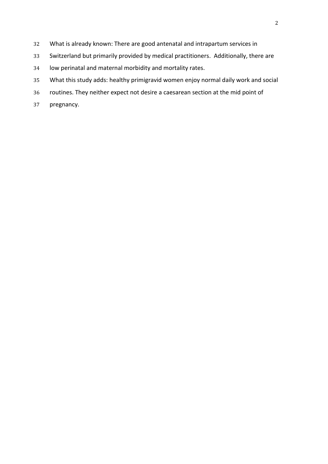- What is already known: There are good antenatal and intrapartum services in
- Switzerland but primarily provided by medical practitioners. Additionally, there are
- low perinatal and maternal morbidity and mortality rates.
- What this study adds: healthy primigravid women enjoy normal daily work and social
- routines. They neither expect not desire a caesarean section at the mid point of
- pregnancy.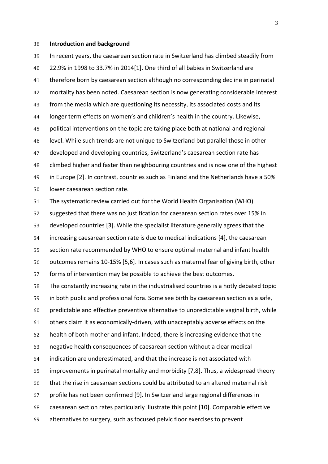## **Introduction and background**

 In recent years, the caesarean section rate in Switzerland has climbed steadily from 22.9% in 1998 to 33.7% in 2014[1]. One third of all babies in Switzerland are therefore born by caesarean section although no corresponding decline in perinatal mortality has been noted. Caesarean section is now generating considerable interest from the media which are questioning its necessity, its associated costs and its longer term effects on women's and children's health in the country. Likewise, political interventions on the topic are taking place both at national and regional level. While such trends are not unique to Switzerland but parallel those in other developed and developing countries, Switzerland's caesarean section rate has climbed higher and faster than neighbouring countries and is now one of the highest in Europe [2]. In contrast, countries such as Finland and the Netherlands have a 50% lower caesarean section rate.

The systematic review carried out for the World Health Organisation (WHO)

suggested that there was no justification for caesarean section rates over 15% in

developed countries [3]. While the specialist literature generally agrees that the

increasing caesarean section rate is due to medical indications [4], the caesarean

section rate recommended by WHO to ensure optimal maternal and infant health

 outcomes remains 10-15% [5,6]. In cases such as maternal fear of giving birth, other forms of intervention may be possible to achieve the best outcomes.

 The constantly increasing rate in the industrialised countries is a hotly debated topic in both public and professional fora. Some see birth by caesarean section as a safe, predictable and effective preventive alternative to unpredictable vaginal birth, while others claim it as economically-driven, with unacceptably adverse effects on the health of both mother and infant. Indeed, there is increasing evidence that the negative health consequences of caesarean section without a clear medical indication are underestimated, and that the increase is not associated with improvements in perinatal mortality and morbidity [7,8]. Thus, a widespread theory that the rise in caesarean sections could be attributed to an altered maternal risk profile has not been confirmed [9]. In Switzerland large regional differences in caesarean section rates particularly illustrate this point [10]. Comparable effective alternatives to surgery, such as focused pelvic floor exercises to prevent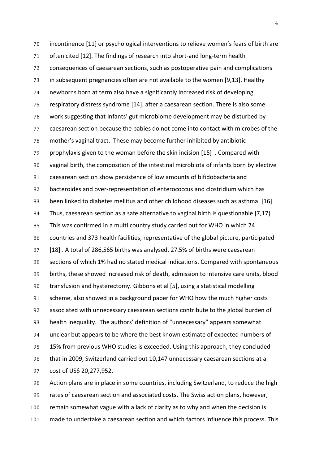incontinence [11] or psychological interventions to relieve women's fears of birth are often cited [12]. The findings of research into short-and long-term health consequences of caesarean sections, such as postoperative pain and complications in subsequent pregnancies often are not available to the women [9,13]. Healthy newborns born at term also have a significantly increased risk of developing respiratory distress syndrome [14], after a caesarean section. There is also some work suggesting that Infants' gut microbiome development may be disturbed by caesarean section because the babies do not come into contact with microbes of the mother's vaginal tract. These may become further inhibited by antibiotic prophylaxis given to the woman before the skin incision [15] . Compared with vaginal birth, the composition of the intestinal microbiota of infants born by elective caesarean section show persistence of low amounts of bifidobacteria and bacteroides and over-representation of enterococcus and clostridium which has been linked to diabetes mellitus and other childhood diseases such as asthma. [16] . Thus, caesarean section as a safe alternative to vaginal birth is questionable [7,17]. This was confirmed in a multi country study carried out for WHO in which 24 countries and 373 health facilities, representative of the global picture, participated [18] . A total of 286,565 births was analysed. 27.5% of births were caesarean sections of which 1% had no stated medical indications. Compared with spontaneous births, these showed increased risk of death, admission to intensive care units, blood transfusion and hysterectomy. Gibbons et al [5], using a statistical modelling scheme, also showed in a background paper for WHO how the much higher costs associated with unnecessary caesarean sections contribute to the global burden of health inequality. The authors' definition of "unnecessary" appears somewhat unclear but appears to be where the best known estimate of expected numbers of 15% from previous WHO studies is exceeded. Using this approach, they concluded that in 2009, Switzerland carried out 10,147 unnecessary caesarean sections at a cost of US\$ 20,277,952.

 Action plans are in place in some countries, including Switzerland, to reduce the high rates of caesarean section and associated costs. The Swiss action plans, however, remain somewhat vague with a lack of clarity as to why and when the decision is made to undertake a caesarean section and which factors influence this process. This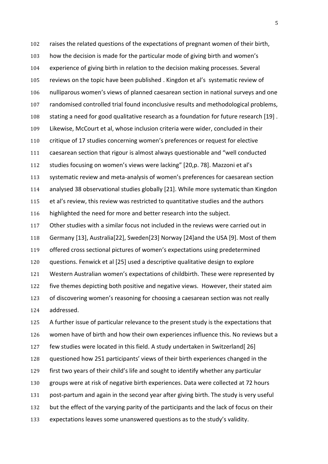raises the related questions of the expectations of pregnant women of their birth, how the decision is made for the particular mode of giving birth and women's experience of giving birth in relation to the decision making processes. Several reviews on the topic have been published . Kingdon et al's systematic review of nulliparous women's views of planned caesarean section in national surveys and one randomised controlled trial found inconclusive results and methodological problems, stating a need for good qualitative research as a foundation for future research [19] . Likewise, McCourt et al, whose inclusion criteria were wider, concluded in their critique of 17 studies concerning women's preferences or request for elective caesarean section that rigour is almost always questionable and "well conducted studies focusing on women's views were lacking" [20,p. 78]. Mazzoni et al's systematic review and meta-analysis of women's preferences for caesarean section analysed 38 observational studies globally [21]. While more systematic than Kingdon et al's review, this review was restricted to quantitative studies and the authors highlighted the need for more and better research into the subject. Other studies with a similar focus not included in the reviews were carried out in Germany [13], Australia[22], Sweden[23] Norway [24]and the USA [9]. Most of them offered cross sectional pictures of women's expectations using predetermined questions. Fenwick et al [25] used a descriptive qualitative design to explore Western Australian women's expectations of childbirth. These were represented by five themes depicting both positive and negative views. However, their stated aim of discovering women's reasoning for choosing a caesarean section was not really addressed. A further issue of particular relevance to the present study is the expectations that women have of birth and how their own experiences influence this. No reviews but a few studies were located in this field. A study undertaken in Switzerland[ 26] questioned how 251 participants' views of their birth experiences changed in the first two years of their child's life and sought to identify whether any particular

groups were at risk of negative birth experiences. Data were collected at 72 hours

post-partum and again in the second year after giving birth. The study is very useful

but the effect of the varying parity of the participants and the lack of focus on their

expectations leaves some unanswered questions as to the study's validity.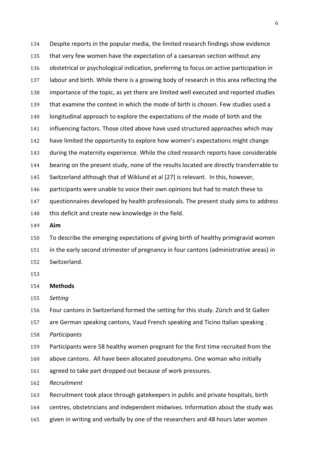Despite reports in the popular media, the limited research findings show evidence that very few women have the expectation of a caesarean section without any obstetrical or psychological indication, preferring to focus on active participation in labour and birth. While there is a growing body of research in this area reflecting the importance of the topic, as yet there are limited well executed and reported studies that examine the context in which the mode of birth is chosen. Few studies used a longitudinal approach to explore the expectations of the mode of birth and the influencing factors. Those cited above have used structured approaches which may have limited the opportunity to explore how women's expectations might change during the maternity experience. While the cited research reports have considerable bearing on the present study, none of the results located are directly transferrable to Switzerland although that of Wiklund et al [27] is relevant. In this, however, participants were unable to voice their own opinions but had to match these to questionnaires developed by health professionals. The present study aims to address 148 this deficit and create new knowledge in the field. **Aim**

 To describe the emerging expectations of giving birth of healthy primigravid women in the early second strimester of pregnancy in four cantons (administrative areas) in Switzerland.

## **Methods**

*Setting*

Four cantons in Switzerland formed the setting for this study. Zürich and St Gallen

are German speaking cantons, Vaud French speaking and Ticino Italian speaking .

*Participants*

Participants were 58 healthy women pregnant for the first time recruited from the

above cantons. All have been allocated pseudonyms. One woman who initially

agreed to take part dropped out because of work pressures.

*Recruitment*

Recruitment took place through gatekeepers in public and private hospitals, birth

centres, obstetricians and independent midwives. Information about the study was

given in writing and verbally by one of the researchers and 48 hours later women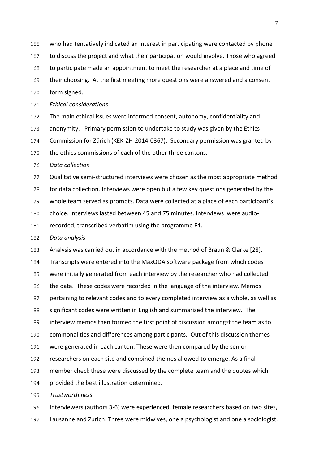who had tentatively indicated an interest in participating were contacted by phone

to discuss the project and what their participation would involve. Those who agreed

- to participate made an appointment to meet the researcher at a place and time of
- their choosing. At the first meeting more questions were answered and a consent

form signed.

*Ethical considerations*

The main ethical issues were informed consent, autonomy, confidentiality and

anonymity. Primary permission to undertake to study was given by the Ethics

Commission for Zürich (KEK-ZH-2014-0367). Secondary permission was granted by

the ethics commissions of each of the other three cantons.

*Data collection*

Qualitative semi-structured interviews were chosen as the most appropriate method

for data collection. Interviews were open but a few key questions generated by the

whole team served as prompts. Data were collected at a place of each participant's

choice. Interviews lasted between 45 and 75 minutes. Interviews were audio-

recorded, transcribed verbatim using the programme F4.

*Data analysis*

Analysis was carried out in accordance with the method of Braun & Clarke [28].

Transcripts were entered into the MaxQDA software package from which codes

were initially generated from each interview by the researcher who had collected

the data. These codes were recorded in the language of the interview. Memos

pertaining to relevant codes and to every completed interview as a whole, as well as

significant codes were written in English and summarised the interview. The

interview memos then formed the first point of discussion amongst the team as to

commonalities and differences among participants. Out of this discussion themes

were generated in each canton. These were then compared by the senior

researchers on each site and combined themes allowed to emerge. As a final

member check these were discussed by the complete team and the quotes which

provided the best illustration determined.

*Trustworthiness*

Interviewers (authors 3-6) were experienced, female researchers based on two sites,

Lausanne and Zurich. Three were midwives, one a psychologist and one a sociologist.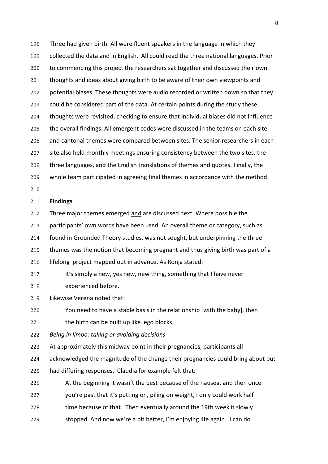Three had given birth. All were fluent speakers in the language in which they collected the data and in English. All could read the three national languages. Prior to commencing this project the researchers sat together and discussed their own thoughts and ideas about giving birth to be aware of their own viewpoints and potential biases. These thoughts were audio recorded or written down so that they could be considered part of the data. At certain points during the study these thoughts were revisited, checking to ensure that individual biases did not influence the overall findings. All emergent codes were discussed in the teams on each site and cantonal themes were compared between sites. The senior researchers in each site also held monthly meetings ensuring consistency between the two sites, the three languages, and the English translations of themes and quotes. Finally, the whole team participated in agreeing final themes in accordance with the method.

## **Findings**

212 Three major themes emerged and are discussed next. Where possible the

participants' own words have been used. An overall theme or category, such as

found in Grounded Theory studies, was not sought, but underpinning the three

themes was the notion that becoming pregnant and thus giving birth was part of a

lifelong project mapped out in advance. As Ronja stated:

- 217 It's simply a new, yes new, new thing, something that I have never
- experienced before.

Likewise Verena noted that:

You need to have a stable basis in the relationship [with the baby], then

221 the birth can be built up like lego blocks.

*Being in limbo: taking or avoiding decisions*

At approximately this midway point in their pregnancies, participants all

acknowledged the magnitude of the change their pregnancies could bring about but

had differing responses. Claudia for example felt that:

At the beginning it wasn't the best because of the nausea, and then once

you're past that it's putting on, piling on weight, I only could work half

228 time because of that. Then eventually around the 19th week it slowly

stopped. And now we're a bit better, I'm enjoying life again. I can do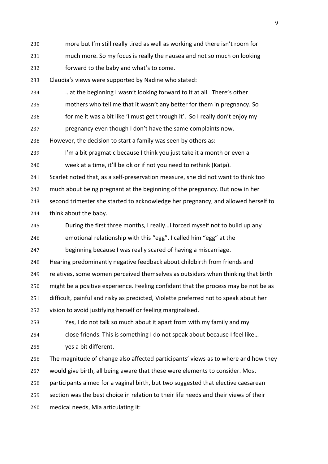much more. So my focus is really the nausea and not so much on looking forward to the baby and what's to come. Claudia's views were supported by Nadine who stated: …at the beginning I wasn't looking forward to it at all. There's other mothers who tell me that it wasn't any better for them in pregnancy. So for me it was a bit like 'I must get through it'. So I really don't enjoy my pregnancy even though I don't have the same complaints now. However, the decision to start a family was seen by others as: 239 I'm a bit pragmatic because I think you just take it a month or even a week at a time, it'll be ok or if not you need to rethink (Katja). Scarlet noted that, as a self-preservation measure, she did not want to think too much about being pregnant at the beginning of the pregnancy. But now in her second trimester she started to acknowledge her pregnancy, and allowed herself to think about the baby. During the first three months, I really…I forced myself not to build up any emotional relationship with this "egg". I called him "egg" at the beginning because I was really scared of having a miscarriage. Hearing predominantly negative feedback about childbirth from friends and relatives, some women perceived themselves as outsiders when thinking that birth might be a positive experience. Feeling confident that the process may be not be as difficult, painful and risky as predicted, Violette preferred not to speak about her vision to avoid justifying herself or feeling marginalised. Yes, I do not talk so much about it apart from with my family and my close friends. This is something I do not speak about because I feel like… yes a bit different. The magnitude of change also affected participants' views as to where and how they would give birth, all being aware that these were elements to consider. Most participants aimed for a vaginal birth, but two suggested that elective caesarean section was the best choice in relation to their life needs and their views of their

more but I'm still really tired as well as working and there isn't room for

medical needs, Mia articulating it: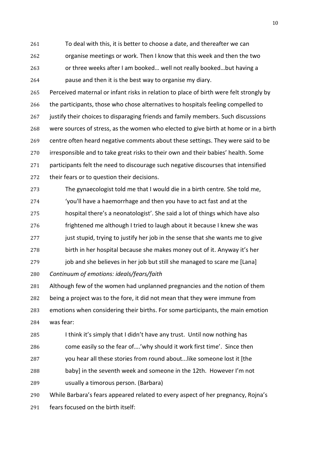To deal with this, it is better to choose a date, and thereafter we can organise meetings or work. Then I know that this week and then the two or three weeks after I am booked… well not really booked…but having a pause and then it is the best way to organise my diary.

 Perceived maternal or infant risks in relation to place of birth were felt strongly by the participants, those who chose alternatives to hospitals feeling compelled to justify their choices to disparaging friends and family members. Such discussions were sources of stress, as the women who elected to give birth at home or in a birth centre often heard negative comments about these settings. They were said to be irresponsible and to take great risks to their own and their babies' health. Some participants felt the need to discourage such negative discourses that intensified their fears or to question their decisions.

 The gynaecologist told me that I would die in a birth centre*.* She told me, 'you'll have a haemorrhage and then you have to act fast and at the hospital there's a neonatologist'. She said a lot of things which have also frightened me although I tried to laugh about it because I knew she was just stupid, trying to justify her job in the sense that she wants me to give birth in her hospital because she makes money out of it. Anyway it's her 279 job and she believes in her job but still she managed to scare me [Lana]

*Continuum of emotions: ideals/fears/faith*

 Although few of the women had unplanned pregnancies and the notion of them being a project was to the fore, it did not mean that they were immune from emotions when considering their births. For some participants, the main emotion was fear:

 I think it's simply that I didn't have any trust. Until now nothing has come easily so the fear of….'why should it work first time'. Since then

you hear all these stories from round about...like someone lost it [the

 baby] in the seventh week and someone in the 12th. However I'm not usually a timorous person. (Barbara)

While Barbara's fears appeared related to every aspect of her pregnancy, Rojna's

fears focused on the birth itself: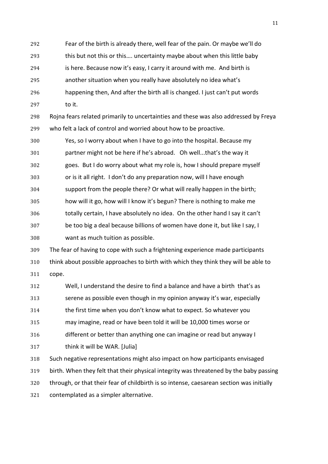Fear of the birth is already there, well fear of the pain. Or maybe we'll do this but not this or this…. uncertainty maybe about when this little baby is here. Because now it's easy, I carry it around with me. And birth is another situation when you really have absolutely no idea what's happening then, And after the birth all is changed. I just can't put words to it.

 Rojna fears related primarily to uncertainties and these was also addressed by Freya who felt a lack of control and worried about how to be proactive.

 Yes, so I worry about when I have to go into the hospital. Because my partner might not be here if he's abroad. Oh well...that's the way it goes. But I do worry about what my role is, how I should prepare myself or is it all right. I don't do any preparation now, will I have enough support from the people there? Or what will really happen in the birth; how will it go, how will I know it's begun? There is nothing to make me totally certain, I have absolutely no idea. On the other hand I say it can't be too big a deal because billions of women have done it, but like I say, I want as much tuition as possible.

 The fear of having to cope with such a frightening experience made participants think about possible approaches to birth with which they think they will be able to cope.

 Well, I understand the desire to find a balance and have a birth that's as serene as possible even though in my opinion anyway it's war, especially the first time when you don't know what to expect. So whatever you may imagine, read or have been told it will be 10,000 times worse or different or better than anything one can imagine or read but anyway I think it will be WAR. [Julia] Such negative representations might also impact on how participants envisaged

birth. When they felt that their physical integrity was threatened by the baby passing

through, or that their fear of childbirth is so intense, caesarean section was initially

contemplated as a simpler alternative.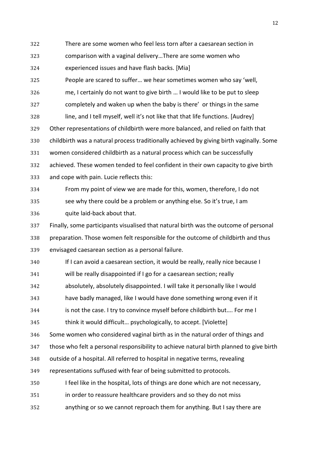There are some women who feel less torn after a caesarean section in comparison with a vaginal delivery…There are some women who experienced issues and have flash backs. [Mia] People are scared to suffer… we hear sometimes women who say 'well, me, I certainly do not want to give birth … I would like to be put to sleep completely and waken up when the baby is there' or things in the same line, and I tell myself, well it's not like that that life functions. [Audrey] Other representations of childbirth were more balanced, and relied on faith that childbirth was a natural process traditionally achieved by giving birth vaginally. Some women considered childbirth as a natural process which can be successfully achieved. These women tended to feel confident in their own capacity to give birth and cope with pain. Lucie reflects this: From my point of view we are made for this, women, therefore, I do not see why there could be a problem or anything else. So it's true, I am quite laid-back about that. Finally, some participants visualised that natural birth was the outcome of personal preparation. Those women felt responsible for the outcome of childbirth and thus envisaged caesarean section as a personal failure. 340 If I can avoid a caesarean section, it would be really, really nice because I will be really disappointed if I go for a caesarean section; really absolutely, absolutely disappointed. I will take it personally like I would have badly managed, like I would have done something wrong even if it is not the case. I try to convince myself before childbirth but…. For me I think it would difficult… psychologically, to accept. [Violette] Some women who considered vaginal birth as in the natural order of things and those who felt a personal responsibility to achieve natural birth planned to give birth outside of a hospital. All referred to hospital in negative terms, revealing representations suffused with fear of being submitted to protocols. I feel like in the hospital, lots of things are done which are not necessary, in order to reassure healthcare providers and so they do not miss anything or so we cannot reproach them for anything. But I say there are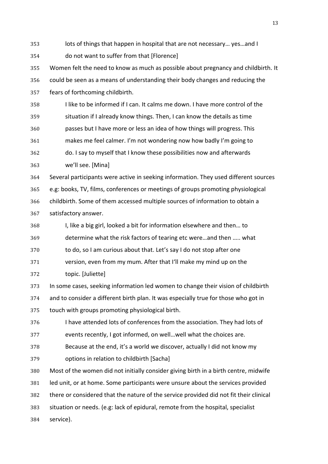Women felt the need to know as much as possible about pregnancy and childbirth. It could be seen as a means of understanding their body changes and reducing the fears of forthcoming childbirth. I like to be informed if I can. It calms me down. I have more control of the situation if I already know things. Then, I can know the details as time passes but I have more or less an idea of how things will progress. This makes me feel calmer. I'm not wondering now how badly I'm going to do. I say to myself that I know these possibilities now and afterwards we'll see. [Mina] Several participants were active in seeking information. They used different sources e.g: books, TV, films, conferences or meetings of groups promoting physiological childbirth. Some of them accessed multiple sources of information to obtain a satisfactory answer. I, like a big girl, looked a bit for information elsewhere and then… to determine what the risk factors of tearing etc were…and then ….. what to do, so I am curious about that. Let's say I do not stop after one version, even from my mum. After that I'll make my mind up on the topic. [Juliette] In some cases, seeking information led women to change their vision of childbirth and to consider a different birth plan. It was especially true for those who got in touch with groups promoting physiological birth. I have attended lots of conferences from the association. They had lots of events recently, I got informed, on well…well what the choices are. Because at the end, it's a world we discover, actually I did not know my options in relation to childbirth [Sacha] Most of the women did not initially consider giving birth in a birth centre, midwife led unit, or at home. Some participants were unsure about the services provided there or considered that the nature of the service provided did not fit their clinical

lots of things that happen in hospital that are not necessary… yes…and I

do not want to suffer from that [Florence]

situation or needs. (e.g: lack of epidural, remote from the hospital, specialist

service).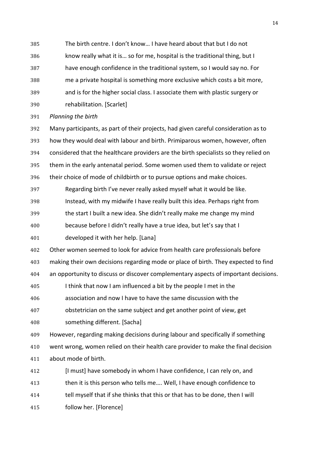The birth centre. I don't know… I have heard about that but I do not know really what it is… so for me, hospital is the traditional thing, but I have enough confidence in the traditional system, so I would say no. For me a private hospital is something more exclusive which costs a bit more, and is for the higher social class. I associate them with plastic surgery or rehabilitation. [Scarlet]

*Planning the birth*

 Many participants, as part of their projects, had given careful consideration as to how they would deal with labour and birth. Primiparous women, however, often considered that the healthcare providers are the birth specialists so they relied on them in the early antenatal period. Some women used them to validate or reject their choice of mode of childbirth or to pursue options and make choices. Regarding birth I've never really asked myself what it would be like.

- Instead, with my midwife I have really built this idea. Perhaps right from
- the start I built a new idea. She didn't really make me change my mind
- because before I didn't really have a true idea, but let's say that I

developed it with her help. [Lana]

Other women seemed to look for advice from health care professionals before

- making their own decisions regarding mode or place of birth. They expected to find
- an opportunity to discuss or discover complementary aspects of important decisions.
- I think that now I am influenced a bit by the people I met in the
- association and now I have to have the same discussion with the
- obstetrician on the same subject and get another point of view, get

something different. [Sacha]

However, regarding making decisions during labour and specifically if something

went wrong, women relied on their health care provider to make the final decision

about mode of birth.

- [I must] have somebody in whom I have confidence, I can rely on, and
- then it is this person who tells me…. Well, I have enough confidence to
- tell myself that if she thinks that this or that has to be done, then I will
- follow her. [Florence]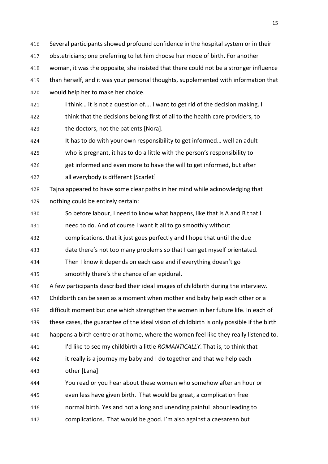Several participants showed profound confidence in the hospital system or in their obstetricians; one preferring to let him choose her mode of birth. For another woman, it was the opposite, she insisted that there could not be a stronger influence than herself, and it was your personal thoughts, supplemented with information that would help her to make her choice.

 I think… it is not a question of…. I want to get rid of the decision making. I think that the decisions belong first of all to the health care providers, to the doctors, not the patients [Nora].

It has to do with your own responsibility to get informed… well an adult

who is pregnant, it has to do a little with the person's responsibility to

 get informed and even more to have the will to get informed, but after all everybody is different [Scarlet]

 Tajna appeared to have some clear paths in her mind while acknowledging that nothing could be entirely certain:

So before labour, I need to know what happens, like that is A and B that I

need to do. And of course I want it all to go smoothly without

complications, that it just goes perfectly and I hope that until the due

date there's not too many problems so that I can get myself orientated.

Then I know it depends on each case and if everything doesn't go

smoothly there's the chance of an epidural.

A few participants described their ideal images of childbirth during the interview.

437 Childbirth can be seen as a moment when mother and baby help each other or a

difficult moment but one which strengthen the women in her future life. In each of

439 these cases, the guarantee of the ideal vision of childbirth is only possible if the birth

- happens a birth centre or at home, where the women feel like they really listened to.
- I'd like to see my childbirth a little *ROMANTICALLY*. That is, to think that it really is a journey my baby and I do together and that we help each other [Lana]

 You read or you hear about these women who somehow after an hour or even less have given birth. That would be great, a complication free normal birth. Yes and not a long and unending painful labour leading to complications. That would be good. I'm also against a caesarean but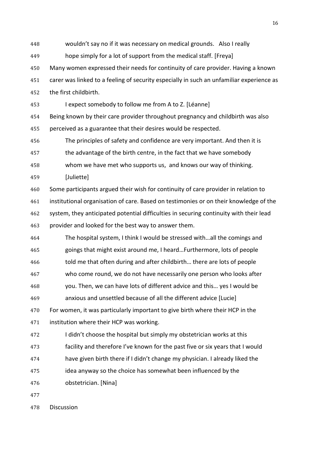wouldn't say no if it was necessary on medical grounds. Also I really hope simply for a lot of support from the medical staff. [Freya] Many women expressed their needs for continuity of care provider. Having a known carer was linked to a feeling of security especially in such an unfamiliar experience as the first childbirth.

I expect somebody to follow me from A to Z. [Léanne]

 Being known by their care provider throughout pregnancy and childbirth was also perceived as a guarantee that their desires would be respected.

The principles of safety and confidence are very important. And then it is

the advantage of the birth centre, in the fact that we have somebody

whom we have met who supports us, and knows our way of thinking.

[Juliette]

Some participants argued their wish for continuity of care provider in relation to

institutional organisation of care. Based on testimonies or on their knowledge of the

system, they anticipated potential difficulties in securing continuity with their lead

provider and looked for the best way to answer them.

 The hospital system, I think I would be stressed with…all the comings and goings that might exist around me, I heard…Furthermore, lots of people told me that often during and after childbirth… there are lots of people who come round, we do not have necessarily one person who looks after you. Then, we can have lots of different advice and this… yes I would be anxious and unsettled because of all the different advice [Lucie] For women, it was particularly important to give birth where their HCP in the

institution where their HCP was working.

 I didn't choose the hospital but simply my obstetrician works at this facility and therefore I've known for the past five or six years that I would have given birth there if I didn't change my physician. I already liked the idea anyway so the choice has somewhat been influenced by the obstetrician. [Nina]

Discussion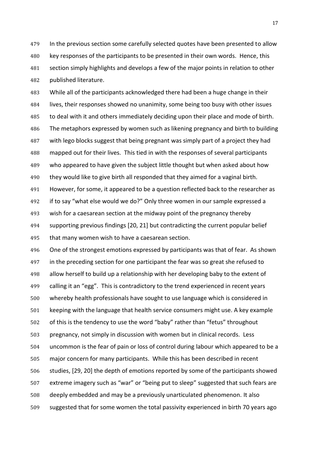In the previous section some carefully selected quotes have been presented to allow key responses of the participants to be presented in their own words. Hence, this section simply highlights and develops a few of the major points in relation to other published literature.

 While all of the participants acknowledged there had been a huge change in their lives, their responses showed no unanimity, some being too busy with other issues to deal with it and others immediately deciding upon their place and mode of birth. The metaphors expressed by women such as likening pregnancy and birth to building with lego blocks suggest that being pregnant was simply part of a project they had mapped out for their lives. This tied in with the responses of several participants who appeared to have given the subject little thought but when asked about how 490 they would like to give birth all responded that they aimed for a vaginal birth. However, for some, it appeared to be a question reflected back to the researcher as if to say "what else would we do?" Only three women in our sample expressed a wish for a caesarean section at the midway point of the pregnancy thereby supporting previous findings [20, 21] but contradicting the current popular belief that many women wish to have a caesarean section.

 One of the strongest emotions expressed by participants was that of fear. As shown 497 in the preceding section for one participant the fear was so great she refused to allow herself to build up a relationship with her developing baby to the extent of 499 calling it an "egg". This is contradictory to the trend experienced in recent years whereby health professionals have sought to use language which is considered in keeping with the language that health service consumers might use. A key example of this is the tendency to use the word "baby" rather than "fetus" throughout pregnancy, not simply in discussion with women but in clinical records. Less uncommon is the fear of pain or loss of control during labour which appeared to be a major concern for many participants. While this has been described in recent studies, [29, 20] the depth of emotions reported by some of the participants showed extreme imagery such as "war" or "being put to sleep" suggested that such fears are deeply embedded and may be a previously unarticulated phenomenon. It also suggested that for some women the total passivity experienced in birth 70 years ago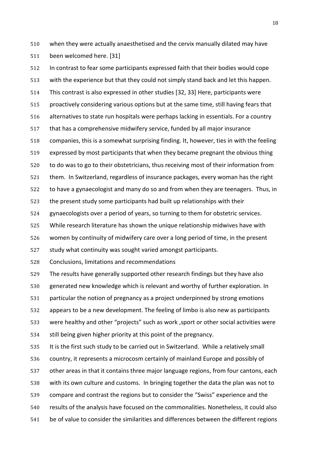when they were actually anaesthetised and the cervix manually dilated may have been welcomed here. [31]

In contrast to fear some participants expressed faith that their bodies would cope

 with the experience but that they could not simply stand back and let this happen. This contrast is also expressed in other studies [32, 33] Here, participants were proactively considering various options but at the same time, still having fears that alternatives to state run hospitals were perhaps lacking in essentials. For a country that has a comprehensive midwifery service, funded by all major insurance companies, this is a somewhat surprising finding. It, however, ties in with the feeling expressed by most participants that when they became pregnant the obvious thing to do was to go to their obstetricians, thus receiving most of their information from them. In Switzerland, regardless of insurance packages, every woman has the right to have a gynaecologist and many do so and from when they are teenagers. Thus, in the present study some participants had built up relationships with their gynaecologists over a period of years, so turning to them for obstetric services. While research literature has shown the unique relationship midwives have with women by continuity of midwifery care over a long period of time, in the present study what continuity was sought varied amongst participants. Conclusions, limitations and recommendations The results have generally supported other research findings but they have also generated new knowledge which is relevant and worthy of further exploration. In particular the notion of pregnancy as a project underpinned by strong emotions appears to be a new development. The feeling of limbo is also new as participants were healthy and other "projects" such as work ,sport or other social activities were still being given higher priority at this point of the pregnancy. It is the first such study to be carried out in Switzerland. While a relatively small country, it represents a microcosm certainly of mainland Europe and possibly of other areas in that it contains three major language regions, from four cantons, each with its own culture and customs. In bringing together the data the plan was not to compare and contrast the regions but to consider the "Swiss" experience and the results of the analysis have focused on the commonalities. Nonetheless, it could also

be of value to consider the similarities and differences between the different regions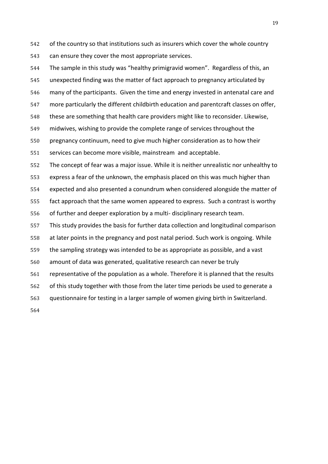of the country so that institutions such as insurers which cover the whole country can ensure they cover the most appropriate services.

 The sample in this study was "healthy primigravid women". Regardless of this, an unexpected finding was the matter of fact approach to pregnancy articulated by many of the participants. Given the time and energy invested in antenatal care and more particularly the different childbirth education and parentcraft classes on offer, these are something that health care providers might like to reconsider. Likewise, midwives, wishing to provide the complete range of services throughout the pregnancy continuum, need to give much higher consideration as to how their services can become more visible, mainstream and acceptable. The concept of fear was a major issue. While it is neither unrealistic nor unhealthy to express a fear of the unknown, the emphasis placed on this was much higher than expected and also presented a conundrum when considered alongside the matter of fact approach that the same women appeared to express. Such a contrast is worthy of further and deeper exploration by a multi- disciplinary research team. This study provides the basis for further data collection and longitudinal comparison at later points in the pregnancy and post natal period. Such work is ongoing. While the sampling strategy was intended to be as appropriate as possible, and a vast amount of data was generated, qualitative research can never be truly representative of the population as a whole. Therefore it is planned that the results of this study together with those from the later time periods be used to generate a questionnaire for testing in a larger sample of women giving birth in Switzerland.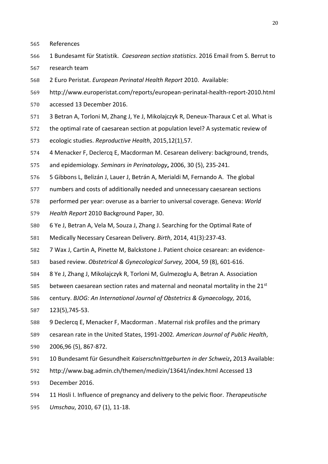- References
- 1 Bundesamt für Statistik. *Caesarean section statistics*. 2016 Email from S. Berrut to research team
- 2 Euro Peristat. *European Perinatal Health Report* 2010. Available:
- <http://www.europeristat.com/reports/european-perinatal-health-report-2010.html> accessed 13 December 2016.
- 3 Betran A, Torloni M, Zhang J, Ye J, Mikolajczyk R, Deneux-Tharaux C et al. What is
- the optimal rate of caesarean section at population level? A systematic review of
- ecologic studies. *Reproductive Health*, 2015,12(1),57.
- 4 Menacker F, Declercq E, Macdorman M. Cesarean delivery: background, trends,
- and epidemiology. *Seminars in Perinatology***,** 2006, 30 (5), 235-241.
- 5 Gibbons L, Belizán J, Lauer J, Betrán A, Merialdi M, Fernando A. The global
- numbers and costs of additionally needed and unnecessary caesarean sections
- performed per year: overuse as a barrier to universal coverage. Geneva: *World*
- *Health Report* 2010 Background Paper, 30.
- 6 Ye J, Betran A, Vela M, Souza J, Zhang J. Searching for the Optimal Rate of
- Medically Necessary Cesarean Delivery. *Birth*, 2014, 41(3):237-43.
- 7 Wax J, Cartin A, Pinette M, Balckstone J. Patient choice cesarean: an evidence-
- based review. *Obstetrical & Gynecological Survey,* 2004, 59 (8), 601-616.
- 8 Ye J, Zhang J, Mikolajczyk R, Torloni M, Gulmezoglu A, Betran A. Association
- 585 between caesarean section rates and maternal and neonatal mortality in the  $21^{st}$
- century. *BJOG: An International Journal of Obstetrics & Gynaecology,* 2016,
- 123(5),745-53.
- 9 Declercq E, Menacker F, Macdorman . Maternal risk profiles and the primary
- cesarean rate in the United States, 1991-2002*. American Journal of Public Health*,
- 2006,96 (5), 867-872.
- 10 Bundesamt für Gesundheit *Kaiserschnittgeburten in der Schweiz***,** 2013 Available:
- <http://www.bag.admin.ch/themen/medizin/13641/index.html> Accessed 13
- December 2016.
- 11 Hosli I. Influence of pregnancy and delivery to the pelvic floor. *Therapeutische*
- *Umschau*, 2010, 67 (1), 11-18.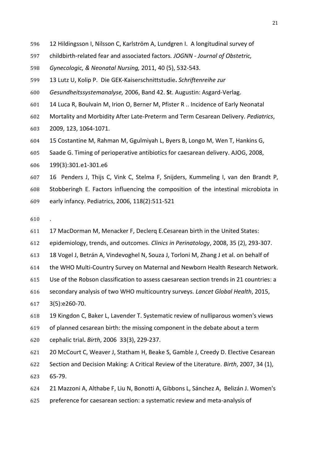- 12 Hildingsson I, Nilsson C, Karlström A, Lundgren I. A longitudinal survey of
- childbirth-related fear and associated factors*. JOGNN - Journal of Obstetric,*
- *Gynecologic, & Neonatal Nursing,* 2011, 40 (5), 532-543.
- 13 Lutz U, Kolip P. Die GEK-Kaiserschnittstudie**.** *Schriftenreihe zur*
- *Gesundheitssystemanalyse,* 2006, Band 42. **S**t. Augustin: Asgard-Verlag.
- 14 Luca R, Boulvain M, Irion O, Berner M, Pfister R .. Incidence of Early Neonatal
- Mortality and Morbidity After Late-Preterm and Term Cesarean Delivery. *Pediatrics*,
- 2009, 123, 1064-1071.
- 15 Costantine M, Rahman M, Ggulmiyah L, Byers B, Longo M, Wen T, Hankins G,
- Saade G. Timing of perioperative antibiotics for caesarean delivery. AJOG, 2008,
- 199(3):301.e1-301.e6
- 16 Penders J, Thijs C, Vink C, Stelma F, Snijders, Kummeling I, van den Brandt P, Stobberingh E. Factors influencing the composition of the intestinal microbiota in early infancy. Pediatrics, 2006, 118(2):511-521
- .
- 17 MacDorman M, Menacker F, Declerq E.Cesarean birth in the United States:
- epidemiology, trends, and outcomes. *Clinics in Perinatology*, 2008, 35 (2), 293-307.
- 18 Vogel J, Betrán A, Vindevoghel N, Souza J, Torloni M, Zhang J et al. on behalf of
- the WHO Multi-Country Survey on Maternal and Newborn Health Research Network.
- Use of the Robson classification to assess caesarean section trends in 21 countries: a
- secondary analysis of two WHO multicountry surveys. *Lancet Global Health*, 2015,
- 3(5):e260-70.
- 19 Kingdon C, Baker L, Lavender T. Systematic review of nulliparous women's views
- of planned cesarean birth: the missing component in the debate about a term
- cephalic trial**.** *Birth*, 2006 33(3), 229-237.
- 20 McCourt C, Weaver J, Statham H, Beake S, Gamble J, Creedy D. Elective Cesarean
- Section and Decision Making: A Critical Review of the Literature. *Birth*, 2007, 34 (1),
- 65-79.
- 21 Mazzoni A, Althabe F, Liu N, Bonotti A, Gibbons L, Sánchez A, Belizán J. Women's
- preference for caesarean section: a systematic review and meta-analysis of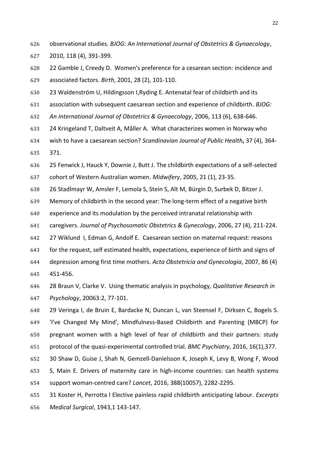- observational studies. *BJOG: An International Journal of Obstetrics & Gynaecology*,
- 2010, 118 (4), 391-399.
- 22 Gamble J, Creedy D. Women's preference for a cesarean section: incidence and associated factors. *Birth*, 2001, 28 (2), 101-110.
- 23 Waldenström U, Hildingsson I,Ryding E. Antenatal fear of childbirth and its
- association with subsequent caesarean section and experience of childbirth. *BJOG:*
- *An International Journal of Obstetrics & Gynaecology*, 2006, 113 (6), 638-646.
- 24 Kringeland T, Daltveit A, Måller A. What characterizes women in Norway who
- wish to have a caesarean section? *Scandinavian Journal of Public Health***,** 37 (4), 364-
- 371.
- 25 Fenwick J, Hauck Y, Downie J, Butt J. The childbirth expectations of a self-selected

cohort of Western Australian women. *Midwifery*, 2005, 21 (1), 23-35.

- 26 Stadlmayr W, Amsler F, Lemola S, Stein S, Alt M, Bürgin D, Surbek D, Bitzer J.
- Memory of childbirth in the second year: The long-term effect of a negative birth
- experience and its modulation by the perceived intranatal relationship with
- caregivers. *Journal of Psychosomatic Obstetrics & Gynecology*, 2006, 27 (4), 211-224.
- 27 Wiklund I, Edman G, Andolf E. Caesarean section on maternal request: reasons
- for the request, self estimated health, expectations, experience of birth and signs of
- depression among first time mothers. *Acta Obstetricia and Gynecologia*, 2007, 86 (4)
- 451-456.
- 28 Braun V, Clarke V. Using thematic analysis in psychology, *Qualitative Research in Psychology*, 20063:2, 77-101.
- 29 Veringa I, de Bruin E, Bardacke N, Duncan L, van Steensel F, Dirksen C, Bogels S. ['I've Changed My Mind', Mindfulness-Based Childbirth and Parenting](http://ovidsp.tx.ovid.com/sp-3.22.1b/ovidweb.cgi?&S=ELJHFPOIPNDDDNLFNCHKCAGCIJBJAA00&Complete+Reference=S.sh.21%7c3%7c1) (MBCP) for [pregnant women with a high level of fear](http://ovidsp.tx.ovid.com/sp-3.22.1b/ovidweb.cgi?&S=ELJHFPOIPNDDDNLFNCHKCAGCIJBJAA00&Complete+Reference=S.sh.21%7c3%7c1) of childbirth and their partners: study [protocol of the quasi-experimental controlled trial.](http://ovidsp.tx.ovid.com/sp-3.22.1b/ovidweb.cgi?&S=ELJHFPOIPNDDDNLFNCHKCAGCIJBJAA00&Complete+Reference=S.sh.21%7c3%7c1) *BMC Psychiatry*, 2016, 16(1),377.
- 30 Shaw D, Guise J, Shah N, Gemzell-Danielsson K, Joseph K, Levy B, Wong F, Wood S, Main E. [Drivers of maternity care in high-income countries: can health systems](http://ovidsp.tx.ovid.com/sp-3.22.1b/ovidweb.cgi?&S=ELJHFPOIPNDDDNLFNCHKCAGCIJBJAA00&Complete+Reference=S.sh.21%7c5%7c1)  [support woman-centred care?](http://ovidsp.tx.ovid.com/sp-3.22.1b/ovidweb.cgi?&S=ELJHFPOIPNDDDNLFNCHKCAGCIJBJAA00&Complete+Reference=S.sh.21%7c5%7c1) *Lancet*, 2016, 388(10057), 2282-2295.
- 31 Koster H, Perrotta l Elective painless rapid childbirth anticipating labour. *Excerpts Medical Surgical*, 1943,1 143-147.